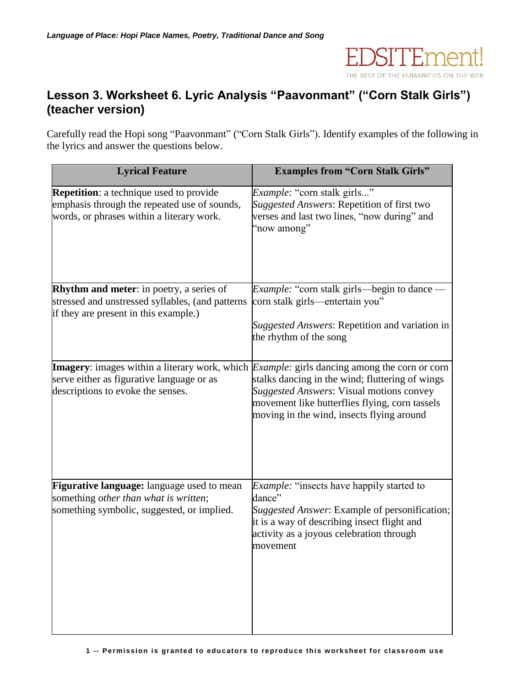

## **Lesson 3. Worksheet 6. Lyric Analysis "Paavonmant" ("Corn Stalk Girls") (teacher version)**

Carefully read the Hopi song "Paavonmant" ("Corn Stalk Girls"). Identify examples of the following in the lyrics and answer the questions below.

| <b>Lyrical Feature</b>                                                                                                                       | <b>Examples from "Corn Stalk Girls"</b>                                                                                                                                                                                                                                                                   |
|----------------------------------------------------------------------------------------------------------------------------------------------|-----------------------------------------------------------------------------------------------------------------------------------------------------------------------------------------------------------------------------------------------------------------------------------------------------------|
| <b>Repetition:</b> a technique used to provide<br>emphasis through the repeated use of sounds,<br>words, or phrases within a literary work.  | Example: "corn stalk girls"<br>Suggested Answers: Repetition of first two<br>verses and last two lines, "now during" and<br>"now among"                                                                                                                                                                   |
| <b>Rhythm and meter:</b> in poetry, a series of<br>stressed and unstressed syllables, (and patterns<br>if they are present in this example.) | <i>Example:</i> "corn stalk girls—begin to dance -<br>corn stalk girls-entertain you"<br>Suggested Answers: Repetition and variation in<br>the rhythm of the song                                                                                                                                         |
| serve either as figurative language or as<br>descriptions to evoke the senses.                                                               | <b>Imagery</b> : images within a literary work, which <i>Example</i> : girls dancing among the corn or corn<br>stalks dancing in the wind; fluttering of wings<br>Suggested Answers: Visual motions convey<br>movement like butterflies flying, corn tassels<br>moving in the wind, insects flying around |
| Figurative language: language used to mean<br>something other than what is written;<br>something symbolic, suggested, or implied.            | <i>Example:</i> "insects have happily started to<br>dance"<br><i>Suggested Answer</i> : Example of personification;<br>it is a way of describing insect flight and<br>activity as a joyous celebration through<br>movement                                                                                |